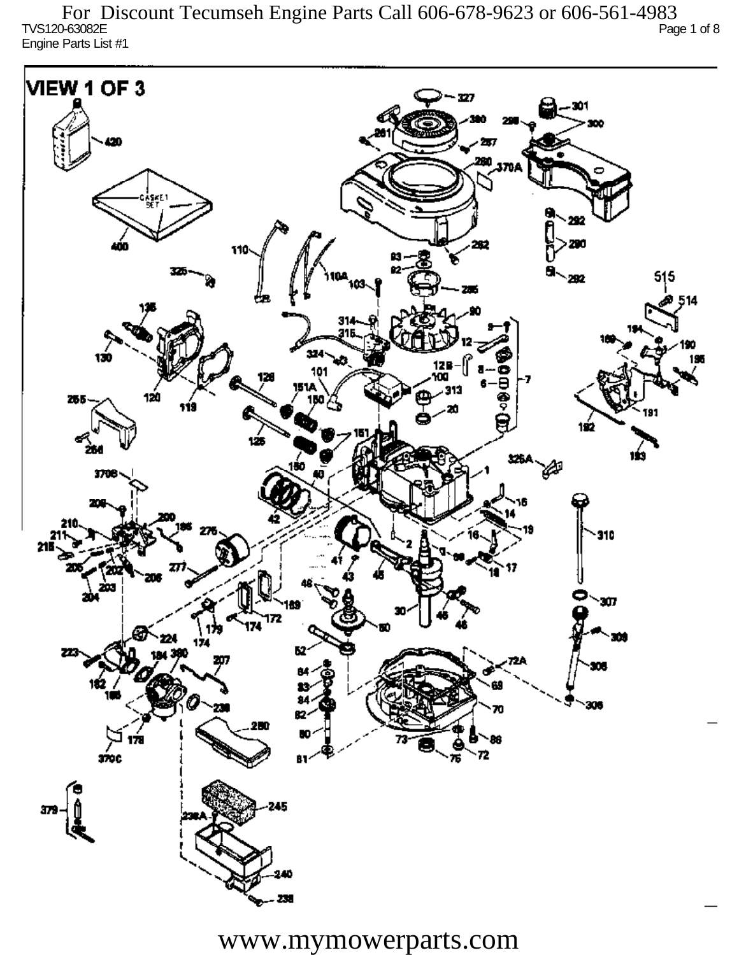TVS120-63082E Page 1 of 8 Engine Parts List #1 For Discount Tecumseh Engine Parts Call 606-678-9623 or 606-561-4983

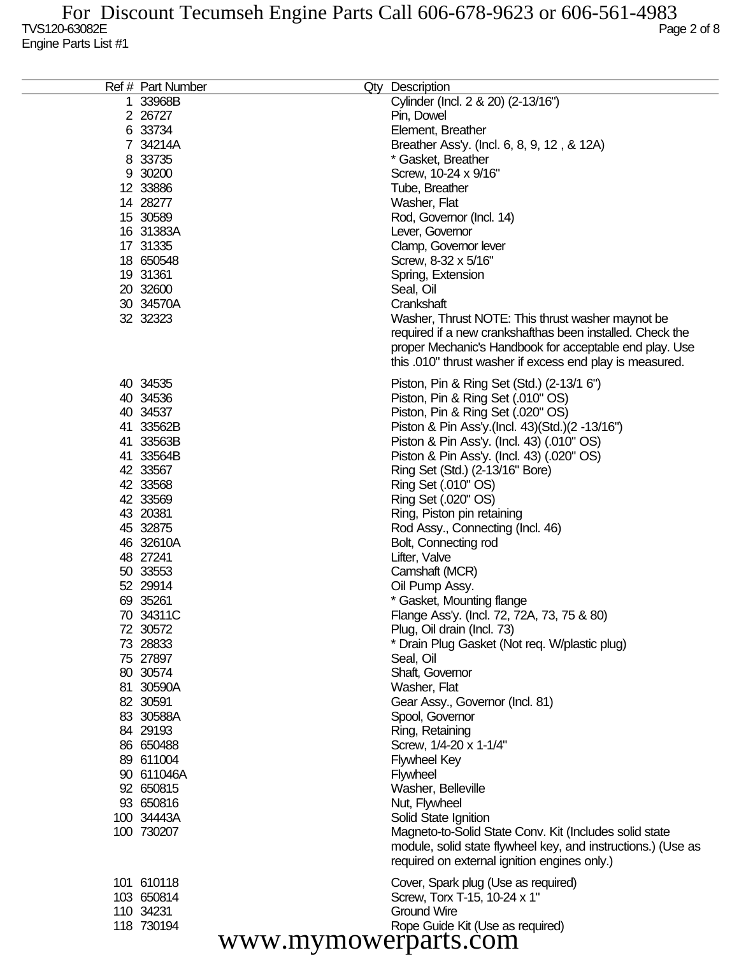| Ref # Part Number    | Qty Description                                              |
|----------------------|--------------------------------------------------------------|
| 1 33968B             | Cylinder (Incl. 2 & 20) (2-13/16")                           |
| 2 26727              | Pin, Dowel                                                   |
| 6 33734              | Element, Breather                                            |
| 7 34214A             | Breather Ass'y. (Incl. 6, 8, 9, 12, & 12A)                   |
| 8 33735              | * Gasket, Breather                                           |
| 9 30200              | Screw, 10-24 x 9/16"                                         |
| 12 33886             | Tube, Breather                                               |
| 14 28277             | Washer, Flat                                                 |
| 15 30589             | Rod, Governor (Incl. 14)                                     |
| 16 31383A            |                                                              |
|                      | Lever, Governor                                              |
| 17 31335             | Clamp, Governor lever                                        |
| 18 650548            | Screw, 8-32 x 5/16"                                          |
| 19 31361             | Spring, Extension                                            |
| 20 32600             | Seal, Oil                                                    |
| 30 34570A            | Crankshaft                                                   |
| 32 32323             | Washer, Thrust NOTE: This thrust washer maynot be            |
|                      | required if a new crankshafthas been installed. Check the    |
|                      | proper Mechanic's Handbook for acceptable end play. Use      |
|                      | this .010" thrust washer if excess end play is measured.     |
| 40 34535             | Piston, Pin & Ring Set (Std.) (2-13/1 6")                    |
| 40 34536             | Piston, Pin & Ring Set (.010" OS)                            |
| 40 34537             | Piston, Pin & Ring Set (.020" OS)                            |
| 41 33562B            | Piston & Pin Ass'y (Incl. 43) (Std.) (2 -13/16")             |
|                      |                                                              |
| 41 33563B            | Piston & Pin Ass'y. (Incl. 43) (.010" OS)                    |
| 41 33564B            | Piston & Pin Ass'y. (Incl. 43) (.020" OS)                    |
| 42 33567             | Ring Set (Std.) (2-13/16" Bore)                              |
| 42 33568             | Ring Set (.010" OS)                                          |
| 42 33569             | Ring Set (.020" OS)                                          |
| 43 20381             | Ring, Piston pin retaining                                   |
| 45 32875             | Rod Assy., Connecting (Incl. 46)                             |
| 46 32610A            | Bolt, Connecting rod                                         |
| 48 27241             | Lifter, Valve                                                |
| 50 33553             | Camshaft (MCR)                                               |
| 52 29914             | Oil Pump Assy.                                               |
| 69 35261             | * Gasket, Mounting flange                                    |
| 70 34311C            | Flange Ass'y. (Incl. 72, 72A, 73, 75 & 80)                   |
| 72 30572             | Plug, Oil drain (Incl. 73)                                   |
| 73 28833             | * Drain Plug Gasket (Not req. W/plastic plug)                |
| 75 27897             | Seal, Oil                                                    |
| 80 30574             | Shaft, Governor                                              |
| 81 30590A            | Washer, Flat                                                 |
| 82 30591             | Gear Assy., Governor (Incl. 81)                              |
| 83 30588A            | Spool, Governor                                              |
| 84 29193             | Ring, Retaining                                              |
| 86 650488            | Screw, 1/4-20 x 1-1/4"                                       |
| 89 611004            | <b>Flywheel Key</b>                                          |
| 90 611046A           | <b>Flywheel</b>                                              |
| 92 650815            | Washer, Belleville                                           |
| 93 650816            | Nut, Flywheel                                                |
| 100 34443A           | Solid State Ignition                                         |
| 100 730207           | Magneto-to-Solid State Conv. Kit (Includes solid state       |
|                      | module, solid state flywheel key, and instructions.) (Use as |
|                      | required on external ignition engines only.)                 |
| 101 610118           | Cover, Spark plug (Use as required)                          |
| 103 650814           | Screw, Torx T-15, 10-24 x 1"                                 |
| 110 34231            | <b>Ground Wire</b>                                           |
| 118 730194           | Rope Guide Kit (Use as required)                             |
| www.mymowerparts.com |                                                              |
|                      |                                                              |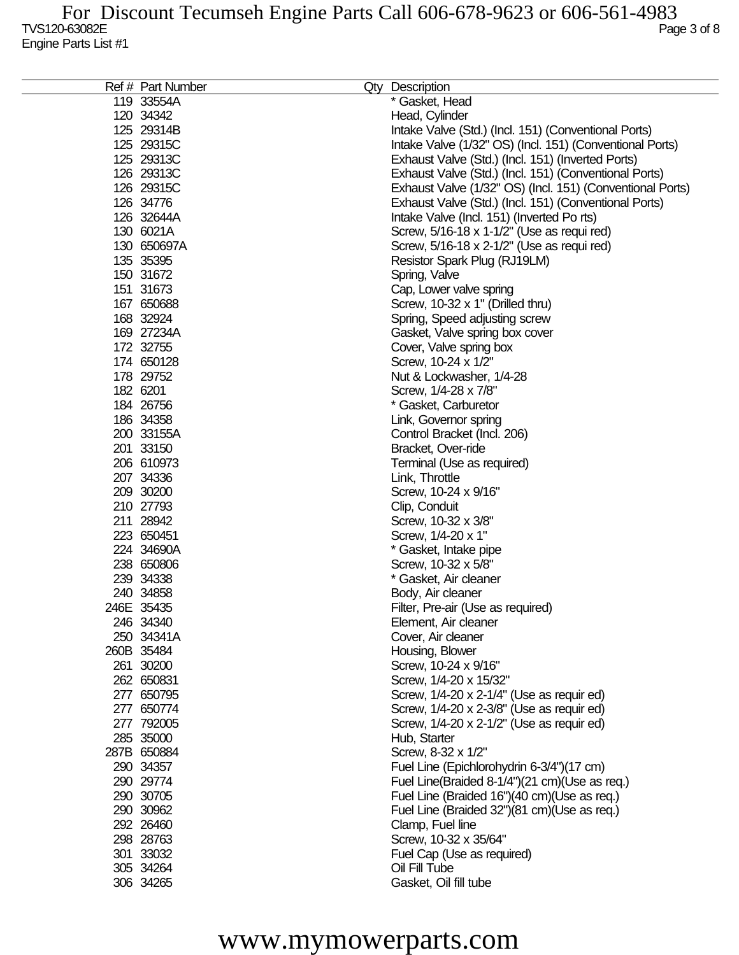| 119 33554A<br>* Gasket, Head<br>120 34342<br>Head, Cylinder<br>125 29314B<br>Intake Valve (Std.) (Incl. 151) (Conventional Ports)<br>125 29315C<br>Intake Valve (1/32" OS) (Incl. 151) (Conventional Ports)<br>125 29313C<br>Exhaust Valve (Std.) (Incl. 151) (Inverted Ports)<br>126 29313C<br>Exhaust Valve (Std.) (Incl. 151) (Conventional Ports)<br>126 29315C<br>Exhaust Valve (1/32" OS) (Incl. 151) (Conventional Ports)<br>126 34776<br>Exhaust Valve (Std.) (Incl. 151) (Conventional Ports)<br>126 32644A<br>Intake Valve (Incl. 151) (Inverted Po rts)<br>130 6021A<br>Screw, 5/16-18 x 1-1/2" (Use as requi red)<br>130 650697A<br>Screw, 5/16-18 x 2-1/2" (Use as requi red)<br>135 35395<br>Resistor Spark Plug (RJ19LM)<br>150 31672<br>Spring, Valve<br>151 31673<br>Cap, Lower valve spring<br>167 650688<br>Screw, 10-32 x 1" (Drilled thru)<br>168 32924<br>Spring, Speed adjusting screw<br>169 27234A<br>Gasket, Valve spring box cover<br>172 32755<br>Cover, Valve spring box<br>174 650128<br>Screw, 10-24 x 1/2"<br>178 29752<br>Nut & Lockwasher, 1/4-28<br>182 6201<br>Screw, 1/4-28 x 7/8"<br>184 26756<br>* Gasket, Carburetor<br>186 34358<br>Link, Governor spring<br>200 33155A<br>Control Bracket (Incl. 206)<br>201 33150<br>Bracket, Over-ride<br>206 610973<br>Terminal (Use as required)<br>207 34336<br>Link, Throttle<br>209 30200<br>Screw, 10-24 x 9/16"<br>210 27793<br>Clip, Conduit<br>211 28942<br>Screw, 10-32 x 3/8"<br>223 650451<br>Screw, 1/4-20 x 1"<br>224 34690A<br>* Gasket, Intake pipe<br>238 650806<br>Screw, 10-32 x 5/8"<br>239 34338<br>* Gasket, Air cleaner<br>240 34858<br>Body, Air cleaner<br>246E 35435<br>Filter, Pre-air (Use as required)<br>246 34340<br>Element, Air cleaner<br>250 34341A<br>Cover, Air cleaner<br>260B 35484<br>Housing, Blower<br>261 30200<br>Screw, 10-24 x 9/16"<br>262 650831<br>Screw, 1/4-20 x 15/32"<br>277 650795<br>Screw, 1/4-20 x 2-1/4" (Use as requir ed)<br>277 650774<br>Screw, 1/4-20 x 2-3/8" (Use as requir ed)<br>277 792005<br>Screw, 1/4-20 x 2-1/2" (Use as requir ed)<br>285 35000<br>Hub, Starter<br>287B 650884<br>Screw, 8-32 x 1/2"<br>290 34357<br>Fuel Line (Epichlorohydrin 6-3/4")(17 cm)<br>290 29774<br>Fuel Line(Braided 8-1/4")(21 cm)(Use as req.)<br>290 30705<br>Fuel Line (Braided 16")(40 cm)(Use as req.)<br>290 30962<br>Fuel Line (Braided 32")(81 cm)(Use as req.)<br>292 26460<br>Clamp, Fuel line<br>298 28763<br>Screw, 10-32 x 35/64"<br>301 33032<br>Fuel Cap (Use as required)<br>305 34264<br>Oil Fill Tube<br>306 34265<br>Gasket, Oil fill tube | Ref # Part Number | Qty Description |
|-------------------------------------------------------------------------------------------------------------------------------------------------------------------------------------------------------------------------------------------------------------------------------------------------------------------------------------------------------------------------------------------------------------------------------------------------------------------------------------------------------------------------------------------------------------------------------------------------------------------------------------------------------------------------------------------------------------------------------------------------------------------------------------------------------------------------------------------------------------------------------------------------------------------------------------------------------------------------------------------------------------------------------------------------------------------------------------------------------------------------------------------------------------------------------------------------------------------------------------------------------------------------------------------------------------------------------------------------------------------------------------------------------------------------------------------------------------------------------------------------------------------------------------------------------------------------------------------------------------------------------------------------------------------------------------------------------------------------------------------------------------------------------------------------------------------------------------------------------------------------------------------------------------------------------------------------------------------------------------------------------------------------------------------------------------------------------------------------------------------------------------------------------------------------------------------------------------------------------------------------------------------------------------------------------------------------------------------------------------------------------------------------------------------------------------------------------------------------------------------------------------------------------------------------------------------------------------------------|-------------------|-----------------|
|                                                                                                                                                                                                                                                                                                                                                                                                                                                                                                                                                                                                                                                                                                                                                                                                                                                                                                                                                                                                                                                                                                                                                                                                                                                                                                                                                                                                                                                                                                                                                                                                                                                                                                                                                                                                                                                                                                                                                                                                                                                                                                                                                                                                                                                                                                                                                                                                                                                                                                                                                                                                 |                   |                 |
|                                                                                                                                                                                                                                                                                                                                                                                                                                                                                                                                                                                                                                                                                                                                                                                                                                                                                                                                                                                                                                                                                                                                                                                                                                                                                                                                                                                                                                                                                                                                                                                                                                                                                                                                                                                                                                                                                                                                                                                                                                                                                                                                                                                                                                                                                                                                                                                                                                                                                                                                                                                                 |                   |                 |
|                                                                                                                                                                                                                                                                                                                                                                                                                                                                                                                                                                                                                                                                                                                                                                                                                                                                                                                                                                                                                                                                                                                                                                                                                                                                                                                                                                                                                                                                                                                                                                                                                                                                                                                                                                                                                                                                                                                                                                                                                                                                                                                                                                                                                                                                                                                                                                                                                                                                                                                                                                                                 |                   |                 |
|                                                                                                                                                                                                                                                                                                                                                                                                                                                                                                                                                                                                                                                                                                                                                                                                                                                                                                                                                                                                                                                                                                                                                                                                                                                                                                                                                                                                                                                                                                                                                                                                                                                                                                                                                                                                                                                                                                                                                                                                                                                                                                                                                                                                                                                                                                                                                                                                                                                                                                                                                                                                 |                   |                 |
|                                                                                                                                                                                                                                                                                                                                                                                                                                                                                                                                                                                                                                                                                                                                                                                                                                                                                                                                                                                                                                                                                                                                                                                                                                                                                                                                                                                                                                                                                                                                                                                                                                                                                                                                                                                                                                                                                                                                                                                                                                                                                                                                                                                                                                                                                                                                                                                                                                                                                                                                                                                                 |                   |                 |
|                                                                                                                                                                                                                                                                                                                                                                                                                                                                                                                                                                                                                                                                                                                                                                                                                                                                                                                                                                                                                                                                                                                                                                                                                                                                                                                                                                                                                                                                                                                                                                                                                                                                                                                                                                                                                                                                                                                                                                                                                                                                                                                                                                                                                                                                                                                                                                                                                                                                                                                                                                                                 |                   |                 |
|                                                                                                                                                                                                                                                                                                                                                                                                                                                                                                                                                                                                                                                                                                                                                                                                                                                                                                                                                                                                                                                                                                                                                                                                                                                                                                                                                                                                                                                                                                                                                                                                                                                                                                                                                                                                                                                                                                                                                                                                                                                                                                                                                                                                                                                                                                                                                                                                                                                                                                                                                                                                 |                   |                 |
|                                                                                                                                                                                                                                                                                                                                                                                                                                                                                                                                                                                                                                                                                                                                                                                                                                                                                                                                                                                                                                                                                                                                                                                                                                                                                                                                                                                                                                                                                                                                                                                                                                                                                                                                                                                                                                                                                                                                                                                                                                                                                                                                                                                                                                                                                                                                                                                                                                                                                                                                                                                                 |                   |                 |
|                                                                                                                                                                                                                                                                                                                                                                                                                                                                                                                                                                                                                                                                                                                                                                                                                                                                                                                                                                                                                                                                                                                                                                                                                                                                                                                                                                                                                                                                                                                                                                                                                                                                                                                                                                                                                                                                                                                                                                                                                                                                                                                                                                                                                                                                                                                                                                                                                                                                                                                                                                                                 |                   |                 |
|                                                                                                                                                                                                                                                                                                                                                                                                                                                                                                                                                                                                                                                                                                                                                                                                                                                                                                                                                                                                                                                                                                                                                                                                                                                                                                                                                                                                                                                                                                                                                                                                                                                                                                                                                                                                                                                                                                                                                                                                                                                                                                                                                                                                                                                                                                                                                                                                                                                                                                                                                                                                 |                   |                 |
|                                                                                                                                                                                                                                                                                                                                                                                                                                                                                                                                                                                                                                                                                                                                                                                                                                                                                                                                                                                                                                                                                                                                                                                                                                                                                                                                                                                                                                                                                                                                                                                                                                                                                                                                                                                                                                                                                                                                                                                                                                                                                                                                                                                                                                                                                                                                                                                                                                                                                                                                                                                                 |                   |                 |
|                                                                                                                                                                                                                                                                                                                                                                                                                                                                                                                                                                                                                                                                                                                                                                                                                                                                                                                                                                                                                                                                                                                                                                                                                                                                                                                                                                                                                                                                                                                                                                                                                                                                                                                                                                                                                                                                                                                                                                                                                                                                                                                                                                                                                                                                                                                                                                                                                                                                                                                                                                                                 |                   |                 |
|                                                                                                                                                                                                                                                                                                                                                                                                                                                                                                                                                                                                                                                                                                                                                                                                                                                                                                                                                                                                                                                                                                                                                                                                                                                                                                                                                                                                                                                                                                                                                                                                                                                                                                                                                                                                                                                                                                                                                                                                                                                                                                                                                                                                                                                                                                                                                                                                                                                                                                                                                                                                 |                   |                 |
|                                                                                                                                                                                                                                                                                                                                                                                                                                                                                                                                                                                                                                                                                                                                                                                                                                                                                                                                                                                                                                                                                                                                                                                                                                                                                                                                                                                                                                                                                                                                                                                                                                                                                                                                                                                                                                                                                                                                                                                                                                                                                                                                                                                                                                                                                                                                                                                                                                                                                                                                                                                                 |                   |                 |
|                                                                                                                                                                                                                                                                                                                                                                                                                                                                                                                                                                                                                                                                                                                                                                                                                                                                                                                                                                                                                                                                                                                                                                                                                                                                                                                                                                                                                                                                                                                                                                                                                                                                                                                                                                                                                                                                                                                                                                                                                                                                                                                                                                                                                                                                                                                                                                                                                                                                                                                                                                                                 |                   |                 |
|                                                                                                                                                                                                                                                                                                                                                                                                                                                                                                                                                                                                                                                                                                                                                                                                                                                                                                                                                                                                                                                                                                                                                                                                                                                                                                                                                                                                                                                                                                                                                                                                                                                                                                                                                                                                                                                                                                                                                                                                                                                                                                                                                                                                                                                                                                                                                                                                                                                                                                                                                                                                 |                   |                 |
|                                                                                                                                                                                                                                                                                                                                                                                                                                                                                                                                                                                                                                                                                                                                                                                                                                                                                                                                                                                                                                                                                                                                                                                                                                                                                                                                                                                                                                                                                                                                                                                                                                                                                                                                                                                                                                                                                                                                                                                                                                                                                                                                                                                                                                                                                                                                                                                                                                                                                                                                                                                                 |                   |                 |
|                                                                                                                                                                                                                                                                                                                                                                                                                                                                                                                                                                                                                                                                                                                                                                                                                                                                                                                                                                                                                                                                                                                                                                                                                                                                                                                                                                                                                                                                                                                                                                                                                                                                                                                                                                                                                                                                                                                                                                                                                                                                                                                                                                                                                                                                                                                                                                                                                                                                                                                                                                                                 |                   |                 |
|                                                                                                                                                                                                                                                                                                                                                                                                                                                                                                                                                                                                                                                                                                                                                                                                                                                                                                                                                                                                                                                                                                                                                                                                                                                                                                                                                                                                                                                                                                                                                                                                                                                                                                                                                                                                                                                                                                                                                                                                                                                                                                                                                                                                                                                                                                                                                                                                                                                                                                                                                                                                 |                   |                 |
|                                                                                                                                                                                                                                                                                                                                                                                                                                                                                                                                                                                                                                                                                                                                                                                                                                                                                                                                                                                                                                                                                                                                                                                                                                                                                                                                                                                                                                                                                                                                                                                                                                                                                                                                                                                                                                                                                                                                                                                                                                                                                                                                                                                                                                                                                                                                                                                                                                                                                                                                                                                                 |                   |                 |
|                                                                                                                                                                                                                                                                                                                                                                                                                                                                                                                                                                                                                                                                                                                                                                                                                                                                                                                                                                                                                                                                                                                                                                                                                                                                                                                                                                                                                                                                                                                                                                                                                                                                                                                                                                                                                                                                                                                                                                                                                                                                                                                                                                                                                                                                                                                                                                                                                                                                                                                                                                                                 |                   |                 |
|                                                                                                                                                                                                                                                                                                                                                                                                                                                                                                                                                                                                                                                                                                                                                                                                                                                                                                                                                                                                                                                                                                                                                                                                                                                                                                                                                                                                                                                                                                                                                                                                                                                                                                                                                                                                                                                                                                                                                                                                                                                                                                                                                                                                                                                                                                                                                                                                                                                                                                                                                                                                 |                   |                 |
|                                                                                                                                                                                                                                                                                                                                                                                                                                                                                                                                                                                                                                                                                                                                                                                                                                                                                                                                                                                                                                                                                                                                                                                                                                                                                                                                                                                                                                                                                                                                                                                                                                                                                                                                                                                                                                                                                                                                                                                                                                                                                                                                                                                                                                                                                                                                                                                                                                                                                                                                                                                                 |                   |                 |
|                                                                                                                                                                                                                                                                                                                                                                                                                                                                                                                                                                                                                                                                                                                                                                                                                                                                                                                                                                                                                                                                                                                                                                                                                                                                                                                                                                                                                                                                                                                                                                                                                                                                                                                                                                                                                                                                                                                                                                                                                                                                                                                                                                                                                                                                                                                                                                                                                                                                                                                                                                                                 |                   |                 |
|                                                                                                                                                                                                                                                                                                                                                                                                                                                                                                                                                                                                                                                                                                                                                                                                                                                                                                                                                                                                                                                                                                                                                                                                                                                                                                                                                                                                                                                                                                                                                                                                                                                                                                                                                                                                                                                                                                                                                                                                                                                                                                                                                                                                                                                                                                                                                                                                                                                                                                                                                                                                 |                   |                 |
|                                                                                                                                                                                                                                                                                                                                                                                                                                                                                                                                                                                                                                                                                                                                                                                                                                                                                                                                                                                                                                                                                                                                                                                                                                                                                                                                                                                                                                                                                                                                                                                                                                                                                                                                                                                                                                                                                                                                                                                                                                                                                                                                                                                                                                                                                                                                                                                                                                                                                                                                                                                                 |                   |                 |
|                                                                                                                                                                                                                                                                                                                                                                                                                                                                                                                                                                                                                                                                                                                                                                                                                                                                                                                                                                                                                                                                                                                                                                                                                                                                                                                                                                                                                                                                                                                                                                                                                                                                                                                                                                                                                                                                                                                                                                                                                                                                                                                                                                                                                                                                                                                                                                                                                                                                                                                                                                                                 |                   |                 |
|                                                                                                                                                                                                                                                                                                                                                                                                                                                                                                                                                                                                                                                                                                                                                                                                                                                                                                                                                                                                                                                                                                                                                                                                                                                                                                                                                                                                                                                                                                                                                                                                                                                                                                                                                                                                                                                                                                                                                                                                                                                                                                                                                                                                                                                                                                                                                                                                                                                                                                                                                                                                 |                   |                 |
|                                                                                                                                                                                                                                                                                                                                                                                                                                                                                                                                                                                                                                                                                                                                                                                                                                                                                                                                                                                                                                                                                                                                                                                                                                                                                                                                                                                                                                                                                                                                                                                                                                                                                                                                                                                                                                                                                                                                                                                                                                                                                                                                                                                                                                                                                                                                                                                                                                                                                                                                                                                                 |                   |                 |
|                                                                                                                                                                                                                                                                                                                                                                                                                                                                                                                                                                                                                                                                                                                                                                                                                                                                                                                                                                                                                                                                                                                                                                                                                                                                                                                                                                                                                                                                                                                                                                                                                                                                                                                                                                                                                                                                                                                                                                                                                                                                                                                                                                                                                                                                                                                                                                                                                                                                                                                                                                                                 |                   |                 |
|                                                                                                                                                                                                                                                                                                                                                                                                                                                                                                                                                                                                                                                                                                                                                                                                                                                                                                                                                                                                                                                                                                                                                                                                                                                                                                                                                                                                                                                                                                                                                                                                                                                                                                                                                                                                                                                                                                                                                                                                                                                                                                                                                                                                                                                                                                                                                                                                                                                                                                                                                                                                 |                   |                 |
|                                                                                                                                                                                                                                                                                                                                                                                                                                                                                                                                                                                                                                                                                                                                                                                                                                                                                                                                                                                                                                                                                                                                                                                                                                                                                                                                                                                                                                                                                                                                                                                                                                                                                                                                                                                                                                                                                                                                                                                                                                                                                                                                                                                                                                                                                                                                                                                                                                                                                                                                                                                                 |                   |                 |
|                                                                                                                                                                                                                                                                                                                                                                                                                                                                                                                                                                                                                                                                                                                                                                                                                                                                                                                                                                                                                                                                                                                                                                                                                                                                                                                                                                                                                                                                                                                                                                                                                                                                                                                                                                                                                                                                                                                                                                                                                                                                                                                                                                                                                                                                                                                                                                                                                                                                                                                                                                                                 |                   |                 |
|                                                                                                                                                                                                                                                                                                                                                                                                                                                                                                                                                                                                                                                                                                                                                                                                                                                                                                                                                                                                                                                                                                                                                                                                                                                                                                                                                                                                                                                                                                                                                                                                                                                                                                                                                                                                                                                                                                                                                                                                                                                                                                                                                                                                                                                                                                                                                                                                                                                                                                                                                                                                 |                   |                 |
|                                                                                                                                                                                                                                                                                                                                                                                                                                                                                                                                                                                                                                                                                                                                                                                                                                                                                                                                                                                                                                                                                                                                                                                                                                                                                                                                                                                                                                                                                                                                                                                                                                                                                                                                                                                                                                                                                                                                                                                                                                                                                                                                                                                                                                                                                                                                                                                                                                                                                                                                                                                                 |                   |                 |
|                                                                                                                                                                                                                                                                                                                                                                                                                                                                                                                                                                                                                                                                                                                                                                                                                                                                                                                                                                                                                                                                                                                                                                                                                                                                                                                                                                                                                                                                                                                                                                                                                                                                                                                                                                                                                                                                                                                                                                                                                                                                                                                                                                                                                                                                                                                                                                                                                                                                                                                                                                                                 |                   |                 |
|                                                                                                                                                                                                                                                                                                                                                                                                                                                                                                                                                                                                                                                                                                                                                                                                                                                                                                                                                                                                                                                                                                                                                                                                                                                                                                                                                                                                                                                                                                                                                                                                                                                                                                                                                                                                                                                                                                                                                                                                                                                                                                                                                                                                                                                                                                                                                                                                                                                                                                                                                                                                 |                   |                 |
|                                                                                                                                                                                                                                                                                                                                                                                                                                                                                                                                                                                                                                                                                                                                                                                                                                                                                                                                                                                                                                                                                                                                                                                                                                                                                                                                                                                                                                                                                                                                                                                                                                                                                                                                                                                                                                                                                                                                                                                                                                                                                                                                                                                                                                                                                                                                                                                                                                                                                                                                                                                                 |                   |                 |
|                                                                                                                                                                                                                                                                                                                                                                                                                                                                                                                                                                                                                                                                                                                                                                                                                                                                                                                                                                                                                                                                                                                                                                                                                                                                                                                                                                                                                                                                                                                                                                                                                                                                                                                                                                                                                                                                                                                                                                                                                                                                                                                                                                                                                                                                                                                                                                                                                                                                                                                                                                                                 |                   |                 |
|                                                                                                                                                                                                                                                                                                                                                                                                                                                                                                                                                                                                                                                                                                                                                                                                                                                                                                                                                                                                                                                                                                                                                                                                                                                                                                                                                                                                                                                                                                                                                                                                                                                                                                                                                                                                                                                                                                                                                                                                                                                                                                                                                                                                                                                                                                                                                                                                                                                                                                                                                                                                 |                   |                 |
|                                                                                                                                                                                                                                                                                                                                                                                                                                                                                                                                                                                                                                                                                                                                                                                                                                                                                                                                                                                                                                                                                                                                                                                                                                                                                                                                                                                                                                                                                                                                                                                                                                                                                                                                                                                                                                                                                                                                                                                                                                                                                                                                                                                                                                                                                                                                                                                                                                                                                                                                                                                                 |                   |                 |
|                                                                                                                                                                                                                                                                                                                                                                                                                                                                                                                                                                                                                                                                                                                                                                                                                                                                                                                                                                                                                                                                                                                                                                                                                                                                                                                                                                                                                                                                                                                                                                                                                                                                                                                                                                                                                                                                                                                                                                                                                                                                                                                                                                                                                                                                                                                                                                                                                                                                                                                                                                                                 |                   |                 |
|                                                                                                                                                                                                                                                                                                                                                                                                                                                                                                                                                                                                                                                                                                                                                                                                                                                                                                                                                                                                                                                                                                                                                                                                                                                                                                                                                                                                                                                                                                                                                                                                                                                                                                                                                                                                                                                                                                                                                                                                                                                                                                                                                                                                                                                                                                                                                                                                                                                                                                                                                                                                 |                   |                 |
|                                                                                                                                                                                                                                                                                                                                                                                                                                                                                                                                                                                                                                                                                                                                                                                                                                                                                                                                                                                                                                                                                                                                                                                                                                                                                                                                                                                                                                                                                                                                                                                                                                                                                                                                                                                                                                                                                                                                                                                                                                                                                                                                                                                                                                                                                                                                                                                                                                                                                                                                                                                                 |                   |                 |
|                                                                                                                                                                                                                                                                                                                                                                                                                                                                                                                                                                                                                                                                                                                                                                                                                                                                                                                                                                                                                                                                                                                                                                                                                                                                                                                                                                                                                                                                                                                                                                                                                                                                                                                                                                                                                                                                                                                                                                                                                                                                                                                                                                                                                                                                                                                                                                                                                                                                                                                                                                                                 |                   |                 |
|                                                                                                                                                                                                                                                                                                                                                                                                                                                                                                                                                                                                                                                                                                                                                                                                                                                                                                                                                                                                                                                                                                                                                                                                                                                                                                                                                                                                                                                                                                                                                                                                                                                                                                                                                                                                                                                                                                                                                                                                                                                                                                                                                                                                                                                                                                                                                                                                                                                                                                                                                                                                 |                   |                 |
|                                                                                                                                                                                                                                                                                                                                                                                                                                                                                                                                                                                                                                                                                                                                                                                                                                                                                                                                                                                                                                                                                                                                                                                                                                                                                                                                                                                                                                                                                                                                                                                                                                                                                                                                                                                                                                                                                                                                                                                                                                                                                                                                                                                                                                                                                                                                                                                                                                                                                                                                                                                                 |                   |                 |
|                                                                                                                                                                                                                                                                                                                                                                                                                                                                                                                                                                                                                                                                                                                                                                                                                                                                                                                                                                                                                                                                                                                                                                                                                                                                                                                                                                                                                                                                                                                                                                                                                                                                                                                                                                                                                                                                                                                                                                                                                                                                                                                                                                                                                                                                                                                                                                                                                                                                                                                                                                                                 |                   |                 |
|                                                                                                                                                                                                                                                                                                                                                                                                                                                                                                                                                                                                                                                                                                                                                                                                                                                                                                                                                                                                                                                                                                                                                                                                                                                                                                                                                                                                                                                                                                                                                                                                                                                                                                                                                                                                                                                                                                                                                                                                                                                                                                                                                                                                                                                                                                                                                                                                                                                                                                                                                                                                 |                   |                 |
|                                                                                                                                                                                                                                                                                                                                                                                                                                                                                                                                                                                                                                                                                                                                                                                                                                                                                                                                                                                                                                                                                                                                                                                                                                                                                                                                                                                                                                                                                                                                                                                                                                                                                                                                                                                                                                                                                                                                                                                                                                                                                                                                                                                                                                                                                                                                                                                                                                                                                                                                                                                                 |                   |                 |
|                                                                                                                                                                                                                                                                                                                                                                                                                                                                                                                                                                                                                                                                                                                                                                                                                                                                                                                                                                                                                                                                                                                                                                                                                                                                                                                                                                                                                                                                                                                                                                                                                                                                                                                                                                                                                                                                                                                                                                                                                                                                                                                                                                                                                                                                                                                                                                                                                                                                                                                                                                                                 |                   |                 |
|                                                                                                                                                                                                                                                                                                                                                                                                                                                                                                                                                                                                                                                                                                                                                                                                                                                                                                                                                                                                                                                                                                                                                                                                                                                                                                                                                                                                                                                                                                                                                                                                                                                                                                                                                                                                                                                                                                                                                                                                                                                                                                                                                                                                                                                                                                                                                                                                                                                                                                                                                                                                 |                   |                 |
|                                                                                                                                                                                                                                                                                                                                                                                                                                                                                                                                                                                                                                                                                                                                                                                                                                                                                                                                                                                                                                                                                                                                                                                                                                                                                                                                                                                                                                                                                                                                                                                                                                                                                                                                                                                                                                                                                                                                                                                                                                                                                                                                                                                                                                                                                                                                                                                                                                                                                                                                                                                                 |                   |                 |
|                                                                                                                                                                                                                                                                                                                                                                                                                                                                                                                                                                                                                                                                                                                                                                                                                                                                                                                                                                                                                                                                                                                                                                                                                                                                                                                                                                                                                                                                                                                                                                                                                                                                                                                                                                                                                                                                                                                                                                                                                                                                                                                                                                                                                                                                                                                                                                                                                                                                                                                                                                                                 |                   |                 |
|                                                                                                                                                                                                                                                                                                                                                                                                                                                                                                                                                                                                                                                                                                                                                                                                                                                                                                                                                                                                                                                                                                                                                                                                                                                                                                                                                                                                                                                                                                                                                                                                                                                                                                                                                                                                                                                                                                                                                                                                                                                                                                                                                                                                                                                                                                                                                                                                                                                                                                                                                                                                 |                   |                 |
|                                                                                                                                                                                                                                                                                                                                                                                                                                                                                                                                                                                                                                                                                                                                                                                                                                                                                                                                                                                                                                                                                                                                                                                                                                                                                                                                                                                                                                                                                                                                                                                                                                                                                                                                                                                                                                                                                                                                                                                                                                                                                                                                                                                                                                                                                                                                                                                                                                                                                                                                                                                                 |                   |                 |
|                                                                                                                                                                                                                                                                                                                                                                                                                                                                                                                                                                                                                                                                                                                                                                                                                                                                                                                                                                                                                                                                                                                                                                                                                                                                                                                                                                                                                                                                                                                                                                                                                                                                                                                                                                                                                                                                                                                                                                                                                                                                                                                                                                                                                                                                                                                                                                                                                                                                                                                                                                                                 |                   |                 |
|                                                                                                                                                                                                                                                                                                                                                                                                                                                                                                                                                                                                                                                                                                                                                                                                                                                                                                                                                                                                                                                                                                                                                                                                                                                                                                                                                                                                                                                                                                                                                                                                                                                                                                                                                                                                                                                                                                                                                                                                                                                                                                                                                                                                                                                                                                                                                                                                                                                                                                                                                                                                 |                   |                 |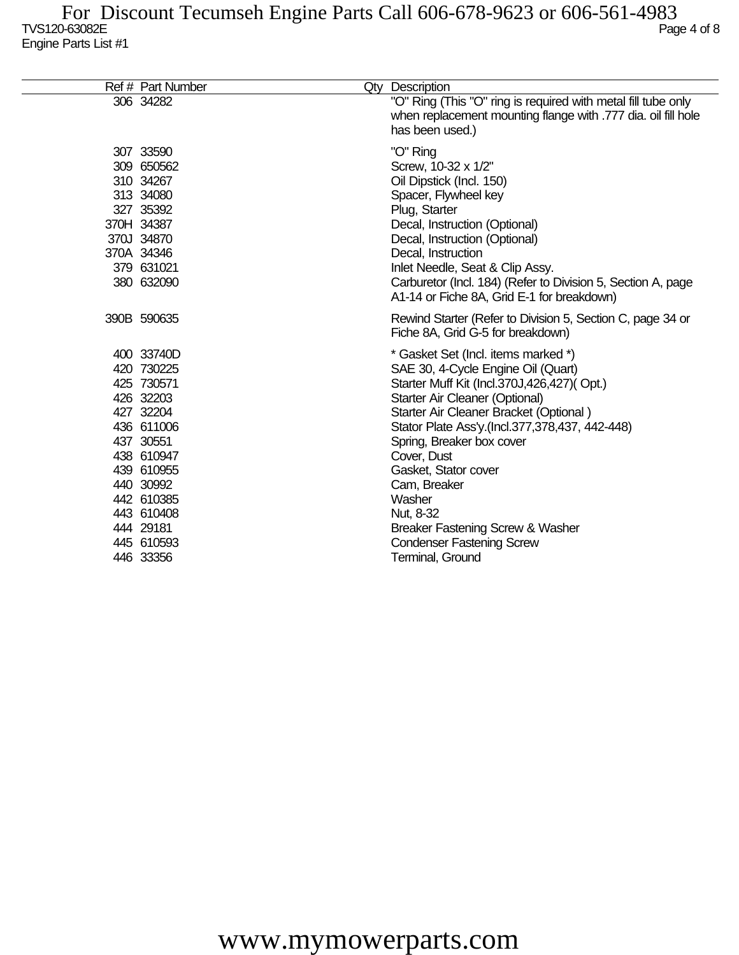| Ref # Part Number                                                                                                                                                                                        | Qty Description                                                                                                                                                                                                                                                                                                                                                                                                                                                     |
|----------------------------------------------------------------------------------------------------------------------------------------------------------------------------------------------------------|---------------------------------------------------------------------------------------------------------------------------------------------------------------------------------------------------------------------------------------------------------------------------------------------------------------------------------------------------------------------------------------------------------------------------------------------------------------------|
| 306 34282                                                                                                                                                                                                | "O" Ring (This "O" ring is required with metal fill tube only<br>when replacement mounting flange with .777 dia. oil fill hole<br>has been used.)                                                                                                                                                                                                                                                                                                                   |
| 307 33590<br>309 650562<br>310 34267<br>313 34080<br>327 35392<br>370H 34387<br>370J 34870<br>370A 34346<br>379 631021<br>380 632090                                                                     | "O" Ring<br>Screw, 10-32 x 1/2"<br>Oil Dipstick (Incl. 150)<br>Spacer, Flywheel key<br>Plug, Starter<br>Decal, Instruction (Optional)<br>Decal, Instruction (Optional)<br>Decal, Instruction<br>Inlet Needle, Seat & Clip Assy.<br>Carburetor (Incl. 184) (Refer to Division 5, Section A, page<br>A1-14 or Fiche 8A, Grid E-1 for breakdown)                                                                                                                       |
| 390B 590635                                                                                                                                                                                              | Rewind Starter (Refer to Division 5, Section C, page 34 or<br>Fiche 8A, Grid G-5 for breakdown)                                                                                                                                                                                                                                                                                                                                                                     |
| 400 33740D<br>420 730225<br>425 730571<br>426 32203<br>427 32204<br>436 611006<br>437 30551<br>438 610947<br>439 610955<br>440 30992<br>442 610385<br>443 610408<br>444 29181<br>445 610593<br>446 33356 | * Gasket Set (Incl. items marked *)<br>SAE 30, 4-Cycle Engine Oil (Quart)<br>Starter Muff Kit (Incl.370J,426,427)(Opt.)<br>Starter Air Cleaner (Optional)<br>Starter Air Cleaner Bracket (Optional)<br>Stator Plate Ass'y.(Incl.377,378,437, 442-448)<br>Spring, Breaker box cover<br>Cover, Dust<br>Gasket, Stator cover<br>Cam, Breaker<br>Washer<br>Nut, 8-32<br>Breaker Fastening Screw & Washer<br><b>Condenser Fastening Screw</b><br><b>Terminal, Ground</b> |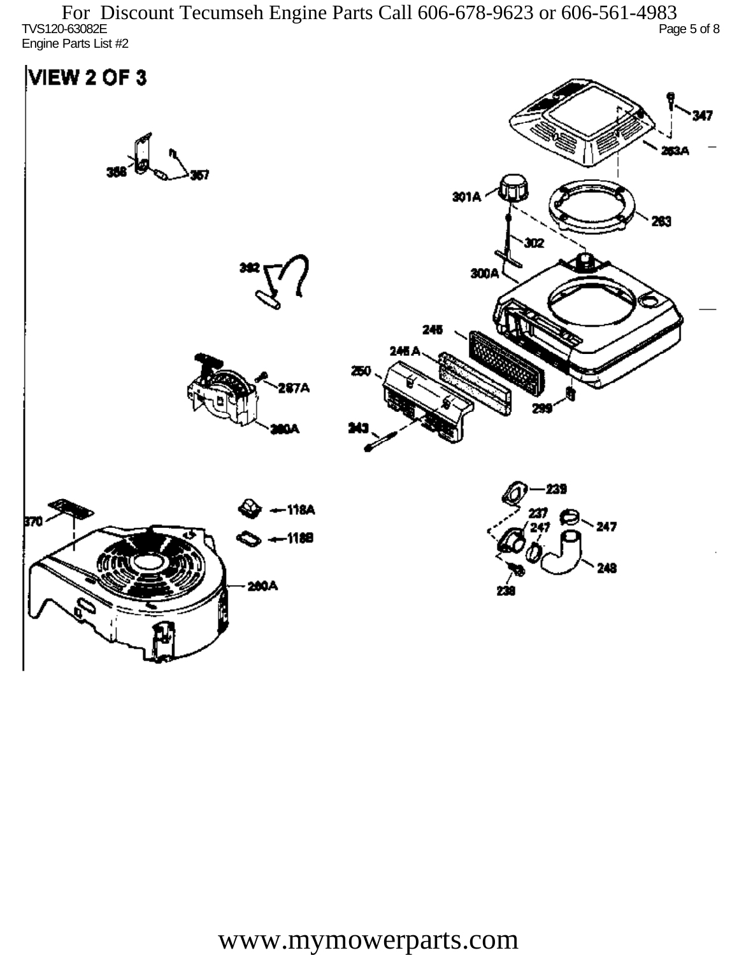TVS120-63082E Page 5 of 8 Engine Parts List #2 For Discount Tecumseh Engine Parts Call 606-678-9623 or 606-561-4983

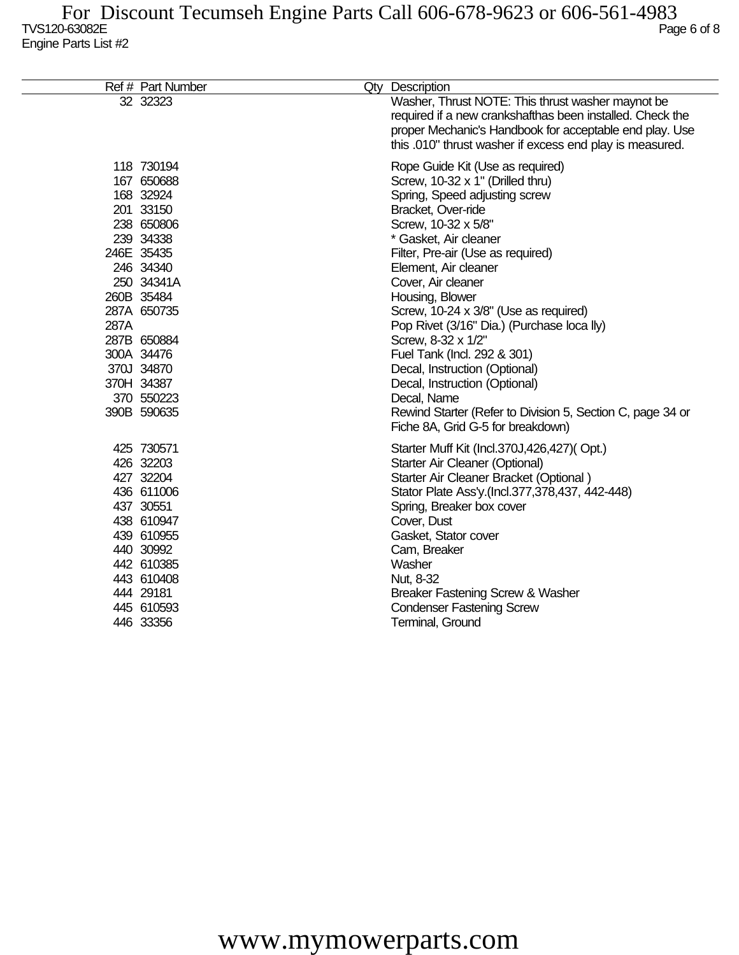|      | Ref # Part Number                                                                                                                                                                                                                         | Qty Description                                                                                                                                                                                                                                                                                                                                                                                                                                                                                                                                                                                                   |
|------|-------------------------------------------------------------------------------------------------------------------------------------------------------------------------------------------------------------------------------------------|-------------------------------------------------------------------------------------------------------------------------------------------------------------------------------------------------------------------------------------------------------------------------------------------------------------------------------------------------------------------------------------------------------------------------------------------------------------------------------------------------------------------------------------------------------------------------------------------------------------------|
|      | 32 32323                                                                                                                                                                                                                                  | Washer, Thrust NOTE: This thrust washer maynot be<br>required if a new crankshafthas been installed. Check the<br>proper Mechanic's Handbook for acceptable end play. Use<br>this .010" thrust washer if excess end play is measured.                                                                                                                                                                                                                                                                                                                                                                             |
| 287A | 118 730194<br>167 650688<br>168 32924<br>201 33150<br>238 650806<br>239 34338<br>246E 35435<br>246 34340<br>250 34341A<br>260B 35484<br>287A 650735<br>287B 650884<br>300A 34476<br>370J 34870<br>370H 34387<br>370 550223<br>390B 590635 | Rope Guide Kit (Use as required)<br>Screw, 10-32 x 1" (Drilled thru)<br>Spring, Speed adjusting screw<br>Bracket, Over-ride<br>Screw, 10-32 x 5/8"<br>* Gasket, Air cleaner<br>Filter, Pre-air (Use as required)<br>Element, Air cleaner<br>Cover, Air cleaner<br>Housing, Blower<br>Screw, 10-24 x 3/8" (Use as required)<br>Pop Rivet (3/16" Dia.) (Purchase loca lly)<br>Screw, 8-32 x 1/2"<br>Fuel Tank (Incl. 292 & 301)<br>Decal, Instruction (Optional)<br>Decal, Instruction (Optional)<br>Decal, Name<br>Rewind Starter (Refer to Division 5, Section C, page 34 or<br>Fiche 8A, Grid G-5 for breakdown) |
|      | 425 730571<br>426 32203<br>427 32204<br>436 611006<br>437 30551<br>438 610947<br>439 610955<br>440 30992<br>442 610385<br>443 610408<br>444 29181<br>445 610593<br>446 33356                                                              | Starter Muff Kit (Incl.370J,426,427)(Opt.)<br>Starter Air Cleaner (Optional)<br>Starter Air Cleaner Bracket (Optional)<br>Stator Plate Ass'y.(Incl.377,378,437, 442-448)<br>Spring, Breaker box cover<br>Cover, Dust<br>Gasket, Stator cover<br>Cam, Breaker<br>Washer<br>Nut, 8-32<br>Breaker Fastening Screw & Washer<br><b>Condenser Fastening Screw</b><br>Terminal, Ground                                                                                                                                                                                                                                   |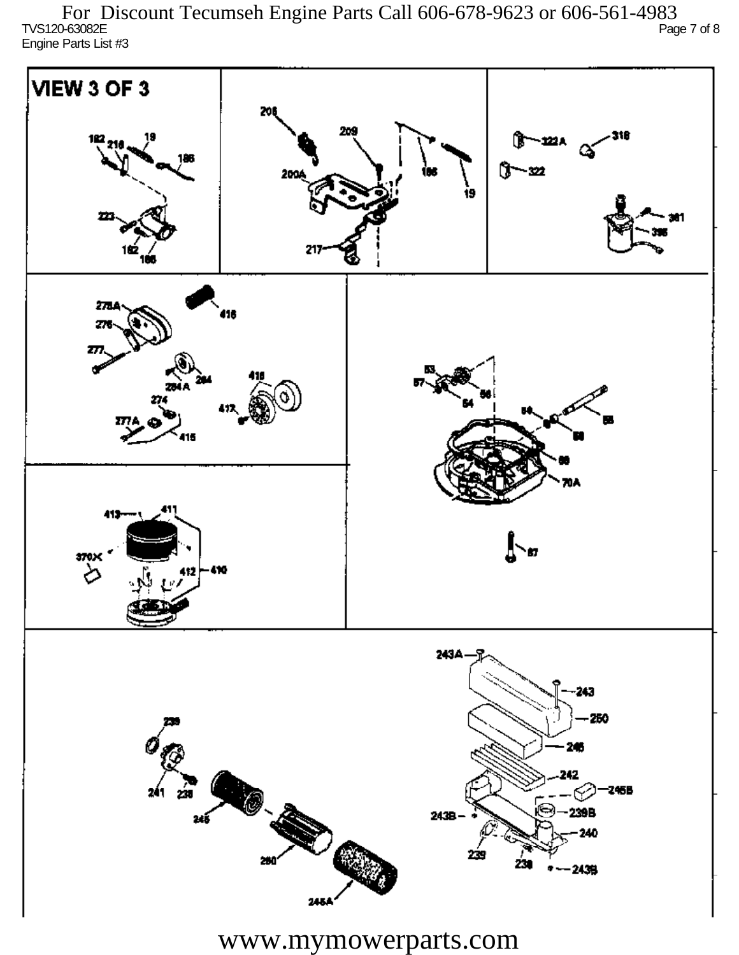TVS120-63082E Page 7 of 8 Engine Parts List #3 For Discount Tecumseh Engine Parts Call 606-678-9623 or 606-561-4983